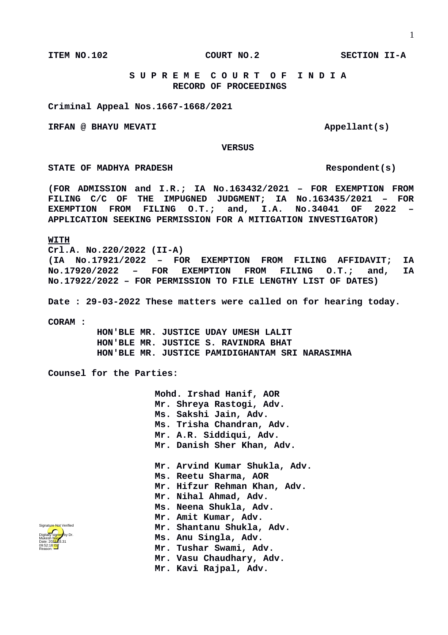**ITEM NO.102 COURT NO.2 SECTION II-A**

## **S U P R E M E C O U R T O F I N D I A RECORD OF PROCEEDINGS**

**Criminal Appeal Nos.1667-1668/2021**

**IRFAN @ BHAYU MEVATI Appellant(s)** 

 **VERSUS**

STATE OF MADHYA PRADESH RESpondent(s)

**(FOR ADMISSION and I.R.; IA No.163432/2021 – FOR EXEMPTION FROM FILING C/C OF THE IMPUGNED JUDGMENT; IA No.163435/2021 – FOR EXEMPTION FROM FILING O.T.; and, I.A. No.34041 OF 2022 – APPLICATION SEEKING PERMISSION FOR A MITIGATION INVESTIGATOR)**

## **WITH**

**Crl.A. No.220/2022 (II-A) (IA No.17921/2022 – FOR EXEMPTION FROM FILING AFFIDAVIT; IA No.17920/2022 – FOR EXEMPTION FROM FILING O.T.; and, IA No.17922/2022 – FOR PERMISSION TO FILE LENGTHY LIST OF DATES)**

**Date : 29-03-2022 These matters were called on for hearing today.**

**CORAM :** 

 **HON'BLE MR. JUSTICE UDAY UMESH LALIT HON'BLE MR. JUSTICE S. RAVINDRA BHAT HON'BLE MR. JUSTICE PAMIDIGHANTAM SRI NARASIMHA**

**Counsel for the Parties:**

**Mohd. Irshad Hanif, AOR Mr. Shreya Rastogi, Adv. Ms. Sakshi Jain, Adv. Ms. Trisha Chandran, Adv. Mr. A.R. Siddiqui, Adv. Mr. Danish Sher Khan, Adv. Mr. Arvind Kumar Shukla, Adv. Ms. Reetu Sharma, AOR Mr. Hifzur Rehman Khan, Adv. Mr. Nihal Ahmad, Adv. Ms. Neena Shukla, Adv. Mr. Amit Kumar, Adv. Mr. Shantanu Shukla, Adv. Ms. Anu Singla, Adv. Mr. Tushar Swami, Adv. Mr. Vasu Chaudhary, Adv.**

**Mr. Kavi Rajpal, Adv.**

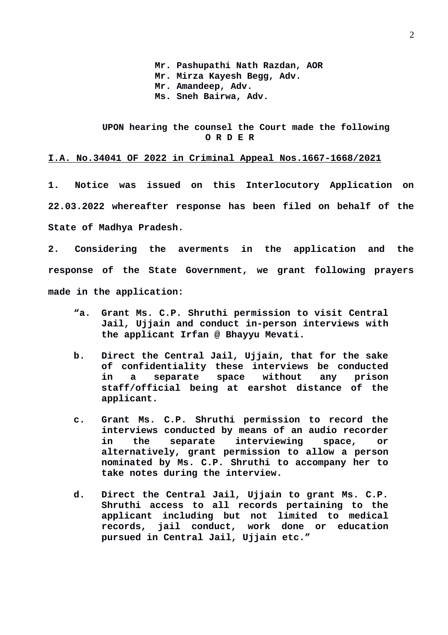**Mr. Pashupathi Nath Razdan, AOR Mr. Mirza Kayesh Begg, Adv. Mr. Amandeep, Adv. Ms. Sneh Bairwa, Adv.**

## **UPON hearing the counsel the Court made the following O R D E R**

## **I.A. No.34041 OF 2022 in Criminal Appeal Nos.1667-1668/2021**

**1. Notice was issued on this Interlocutory Application on 22.03.2022 whereafter response has been filed on behalf of the State of Madhya Pradesh.**

**2. Considering the averments in the application and the response of the State Government, we grant following prayers made in the application:**

- **"a. Grant Ms. C.P. Shruthi permission to visit Central Jail, Ujjain and conduct in-person interviews with the applicant Irfan @ Bhayyu Mevati.**
- **b. Direct the Central Jail, Ujjain, that for the sake of confidentiality these interviews be conducted in a separate space without any prison staff/official being at earshot distance of the applicant.**
- **c. Grant Ms. C.P. Shruthi permission to record the interviews conducted by means of an audio recorder in the separate interviewing space, or alternatively, grant permission to allow a person nominated by Ms. C.P. Shruthi to accompany her to take notes during the interview.**
- **d. Direct the Central Jail, Ujjain to grant Ms. C.P. Shruthi access to all records pertaining to the applicant including but not limited to medical records, jail conduct, work done or education pursued in Central Jail, Ujjain etc."**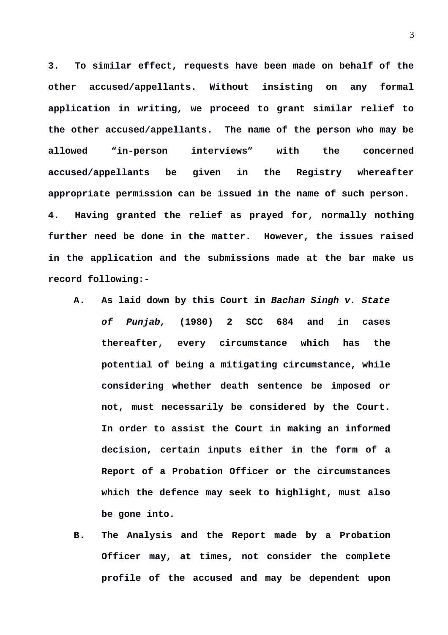**3. To similar effect, requests have been made on behalf of the other accused/appellants. Without insisting on any formal application in writing, we proceed to grant similar relief to the other accused/appellants. The name of the person who may be allowed "in-person interviews" with the concerned accused/appellants be given in the Registry whereafter appropriate permission can be issued in the name of such person. 4. Having granted the relief as prayed for, normally nothing further need be done in the matter. However, the issues raised in the application and the submissions made at the bar make us record following:-**

- **A. As laid down by this Court in** *Bachan Singh v. State of Punjab,* **(1980) 2 SCC 684 and in cases thereafter, every circumstance which has the potential of being a mitigating circumstance, while considering whether death sentence be imposed or not, must necessarily be considered by the Court. In order to assist the Court in making an informed decision, certain inputs either in the form of a Report of a Probation Officer or the circumstances which the defence may seek to highlight, must also be gone into.**
- **B. The Analysis and the Report made by a Probation Officer may, at times, not consider the complete profile of the accused and may be dependent upon**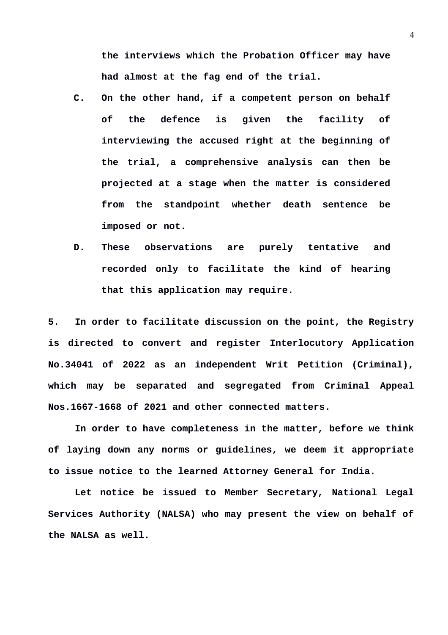**the interviews which the Probation Officer may have had almost at the fag end of the trial.**

- **C. On the other hand, if a competent person on behalf of the defence is given the facility of interviewing the accused right at the beginning of the trial, a comprehensive analysis can then be projected at a stage when the matter is considered from the standpoint whether death sentence be imposed or not.**
- **D. These observations are purely tentative and recorded only to facilitate the kind of hearing that this application may require.**

**5. In order to facilitate discussion on the point, the Registry is directed to convert and register Interlocutory Application No.34041 of 2022 as an independent Writ Petition (Criminal), which may be separated and segregated from Criminal Appeal Nos.1667-1668 of 2021 and other connected matters.**

**In order to have completeness in the matter, before we think of laying down any norms or guidelines, we deem it appropriate to issue notice to the learned Attorney General for India.** 

**Let notice be issued to Member Secretary, National Legal Services Authority (NALSA) who may present the view on behalf of the NALSA as well.**